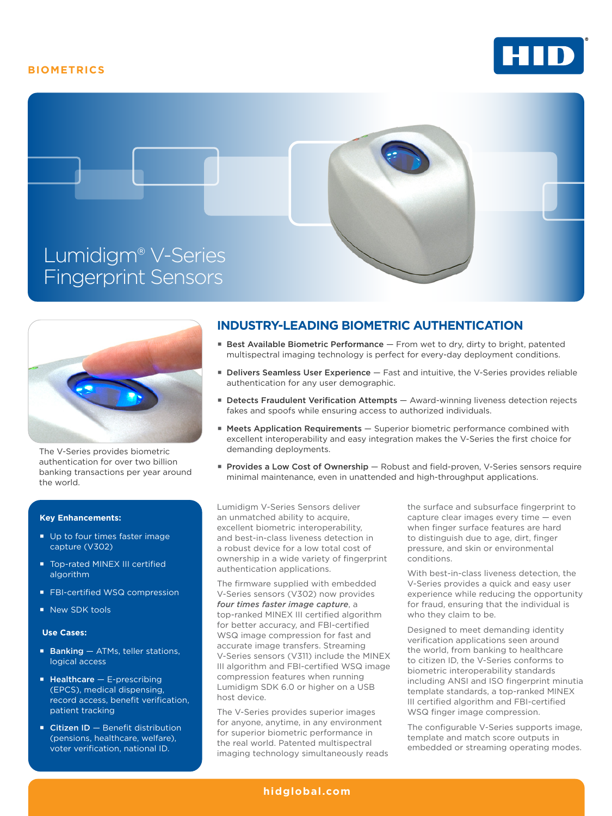# **BIOMETRICS**







The V-Series provides biometric authentication for over two billion banking transactions per year around the world.

### **Key Enhancements:**

- Up to four times faster image capture (V302)
- Top-rated MINEX III certified algorithm
- **FBI-certified WSQ compression**
- New SDK tools

#### **Use Cases:**

- $\blacksquare$  Banking  $-$  ATMs, teller stations, logical access
- $H$ ealthcare E-prescribing (EPCS), medical dispensing, record access, benefit verification, patient tracking
- Citizen ID Benefit distribution (pensions, healthcare, welfare), voter verification, national ID.

# **INDUSTRY-LEADING BIOMETRIC AUTHENTICATION**

- **Example 3** Best Available Biometric Performance From wet to dry, dirty to bright, patented multispectral imaging technology is perfect for every-day deployment conditions.
- **Delivers Seamless User Experience Fast and intuitive, the V-Series provides reliable** authentication for any user demographic.
- **E** Detects Fraudulent Verification Attempts Award-winning liveness detection rejects fakes and spoofs while ensuring access to authorized individuals.
- Meets Application Requirements Superior biometric performance combined with excellent interoperability and easy integration makes the V-Series the first choice for demanding deployments.
- **Provides a Low Cost of Ownership** Robust and field-proven, V-Series sensors require minimal maintenance, even in unattended and high-throughput applications.

Lumidigm V-Series Sensors deliver an unmatched ability to acquire, excellent biometric interoperability, and best-in-class liveness detection in a robust device for a low total cost of ownership in a wide variety of fingerprint authentication applications.

The firmware supplied with embedded V-Series sensors (V302) now provides *four times faster image capture*, a top-ranked MINEX III certified algorithm for better accuracy, and FBI-certified WSQ image compression for fast and accurate image transfers. Streaming V-Series sensors (V311) include the MINEX III algorithm and FBI-certified WSQ image compression features when running Lumidigm SDK 6.0 or higher on a USB host device.

The V-Series provides superior images for anyone, anytime, in any environment for superior biometric performance in the real world. Patented multispectral imaging technology simultaneously reads

the surface and subsurface fingerprint to capture clear images every time — even when finger surface features are hard to distinguish due to age, dirt, finger pressure, and skin or environmental conditions.

With best-in-class liveness detection, the V-Series provides a quick and easy user experience while reducing the opportunity for fraud, ensuring that the individual is who they claim to be.

Designed to meet demanding identity verification applications seen around the world, from banking to healthcare to citizen ID, the V-Series conforms to biometric interoperability standards including ANSI and ISO fingerprint minutia template standards, a top-ranked MINEX III certified algorithm and FBI-certified WSQ finger image compression.

The configurable V-Series supports image, template and match score outputs in embedded or streaming operating modes.